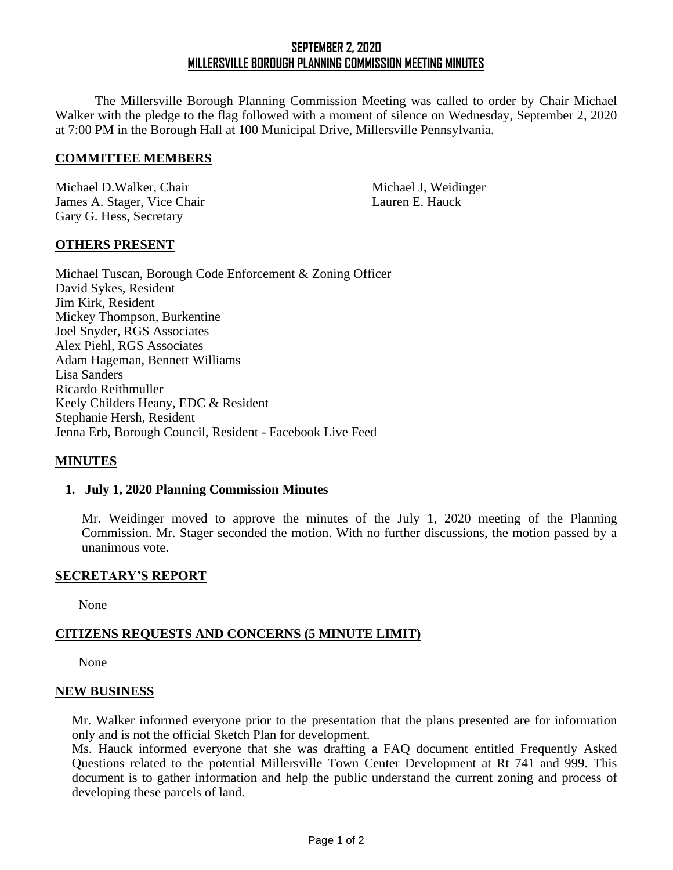# **SEPTEMBER 2, 2020 MILLERSVILLE BOROUGH PLANNING COMMISSION MEETING MINUTES**

The Millersville Borough Planning Commission Meeting was called to order by Chair Michael Walker with the pledge to the flag followed with a moment of silence on Wednesday, September 2, 2020 at 7:00 PM in the Borough Hall at 100 Municipal Drive, Millersville Pennsylvania.

#### **COMMITTEE MEMBERS**

Michael D.Walker, Chair Michael J, Weidinger James A. Stager, Vice Chair Lauren E. Hauck Gary G. Hess, Secretary

## **OTHERS PRESENT**

Michael Tuscan, Borough Code Enforcement & Zoning Officer David Sykes, Resident Jim Kirk, Resident Mickey Thompson, Burkentine Joel Snyder, RGS Associates Alex Piehl, RGS Associates Adam Hageman, Bennett Williams Lisa Sanders Ricardo Reithmuller Keely Childers Heany, EDC & Resident Stephanie Hersh, Resident Jenna Erb, Borough Council, Resident - Facebook Live Feed

## **MINUTES**

#### **1. July 1, 2020 Planning Commission Minutes**

Mr. Weidinger moved to approve the minutes of the July 1, 2020 meeting of the Planning Commission. Mr. Stager seconded the motion. With no further discussions, the motion passed by a unanimous vote.

#### **SECRETARY'S REPORT**

None

## **CITIZENS REQUESTS AND CONCERNS (5 MINUTE LIMIT)**

None

#### **NEW BUSINESS**

Mr. Walker informed everyone prior to the presentation that the plans presented are for information only and is not the official Sketch Plan for development.

Ms. Hauck informed everyone that she was drafting a FAQ document entitled Frequently Asked Questions related to the potential Millersville Town Center Development at Rt 741 and 999. This document is to gather information and help the public understand the current zoning and process of developing these parcels of land.